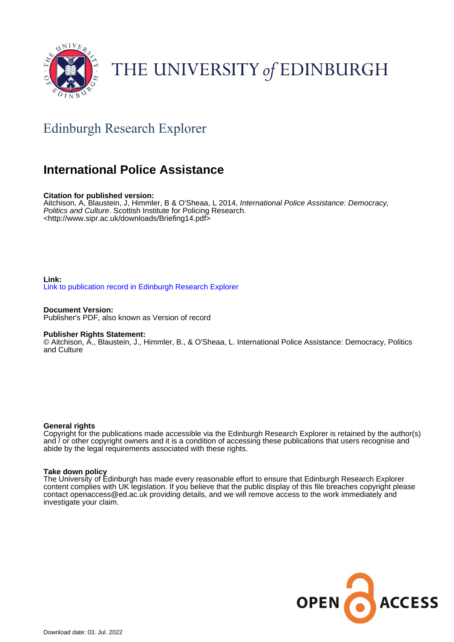

# THE UNIVERSITY of EDINBURGH

### Edinburgh Research Explorer

### **International Police Assistance**

#### **Citation for published version:**

Aitchison, A, Blaustein, J, Himmler, B & O'Sheaa, L 2014, International Police Assistance: Democracy, Politics and Culture. Scottish Institute for Policing Research. <<http://www.sipr.ac.uk/downloads/Briefing14.pdf>>

#### **Link:** [Link to publication record in Edinburgh Research Explorer](https://www.research.ed.ac.uk/en/publications/eadca59a-0684-4dc2-bcb1-ec55627c5de1)

**Document Version:** Publisher's PDF, also known as Version of record

#### **Publisher Rights Statement:**

© Aitchison, A., Blaustein, J., Himmler, B., & O'Sheaa, L. International Police Assistance: Democracy, Politics and Culture

#### **General rights**

Copyright for the publications made accessible via the Edinburgh Research Explorer is retained by the author(s) and / or other copyright owners and it is a condition of accessing these publications that users recognise and abide by the legal requirements associated with these rights.

#### **Take down policy**

The University of Edinburgh has made every reasonable effort to ensure that Edinburgh Research Explorer content complies with UK legislation. If you believe that the public display of this file breaches copyright please contact openaccess@ed.ac.uk providing details, and we will remove access to the work immediately and investigate your claim.

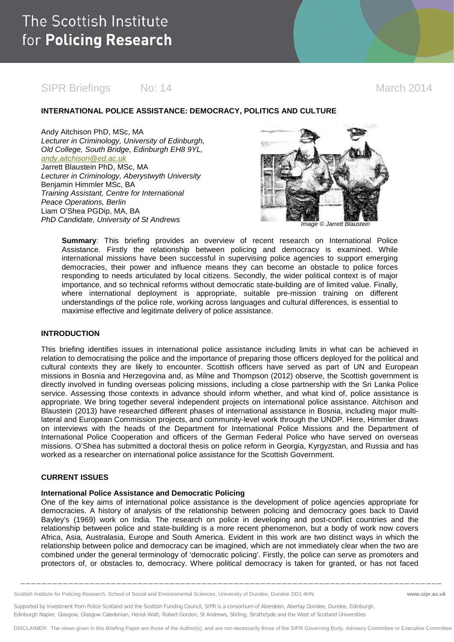### SIPR Briefings Mo: 14 March 2014

#### **INTERNATIONAL POLICE ASSISTANCE: DEMOCRACY, POLITICS AND CULTURE**

Andy Aitchison PhD, MSc, MA *Lecturer in Criminology, University of Edinburgh, Old College, South Bridge, Edinburgh EH8 9YL, [andy.aitchison@ed.ac.uk](mailto:andy.aitchison@ed.ac.uk)* Jarrett Blaustein PhD, MSc, MA *Lecturer in Criminology, Aberystwyth University* Benjamin Himmler MSc, BA *Training Assistant, Centre for International Peace Operations, Berlin* Liam O'Shea PGDip, MA, BA **PhD Candidate, University of St Andrews** *Image © Jarrett Blaustein* 



**Summary**: This briefing provides an overview of recent research on International Police Assistance. Firstly the relationship between policing and democracy is examined. While international missions have been successful in supervising police agencies to support emerging democracies, their power and influence means they can become an obstacle to police forces responding to needs articulated by local citizens. Secondly, the wider political context is of major importance, and so technical reforms without democratic state-building are of limited value. Finally, where international deployment is appropriate, suitable pre-mission training on different understandings of the police role, working across languages and cultural differences, is essential to maximise effective and legitimate delivery of police assistance.

#### **INTRODUCTION**

This briefing identifies issues in international police assistance including limits in what can be achieved in relation to democratising the police and the importance of preparing those officers deployed for the political and cultural contexts they are likely to encounter. Scottish officers have served as part of UN and European missions in Bosnia and Herzegovina and, as Milne and Thompson (2012) observe, the Scottish government is directly involved in funding overseas policing missions, including a close partnership with the Sri Lanka Police service. Assessing those contexts in advance should inform whether, and what kind of, police assistance is appropriate. We bring together several independent projects on international police assistance. Aitchison and Blaustein (2013) have researched different phases of international assistance in Bosnia, including major multilateral and European Commission projects, and community-level work through the UNDP. Here, Himmler draws on interviews with the heads of the Department for International Police Missions and the Department of International Police Cooperation and officers of the German Federal Police who have served on overseas missions. O'Shea has submitted a doctoral thesis on police reform in Georgia, Kyrgyzstan, and Russia and has worked as a researcher on international police assistance for the Scottish Government.

#### **CURRENT ISSUES**

#### **International Police Assistance and Democratic Policing**

One of the key aims of international police assistance is the development of police agencies appropriate for democracies. A history of analysis of the relationship between policing and democracy goes back to David Bayley's (1969) work on India. The research on police in developing and post-conflict countries and the relationship between police and state-building is a more recent phenomenon, but a body of work now covers Africa, Asia, Australasia, Europe and South America. Evident in this work are two distinct ways in which the relationship between police and democracy can be imagined, which are not immediately clear when the two are combined under the general terminology of 'democratic policing'. Firstly, the police can serve as promoters and protectors of, or obstacles to, democracy. Where political democracy is taken for granted, or has not faced

**\_\_\_\_\_\_\_\_\_\_\_\_\_\_\_\_\_\_\_\_\_\_\_\_\_\_\_\_\_\_\_\_\_\_\_\_\_\_\_\_\_\_\_\_\_\_\_\_\_\_\_\_\_\_\_\_\_\_\_\_\_\_\_\_\_\_\_\_\_\_\_\_\_\_\_\_\_\_\_**

Scottish Institute for Policing Research, School of Social and Environmental Sciences, University of Dundee, Dundee DD1 4HN **www.sipr.ac.uk**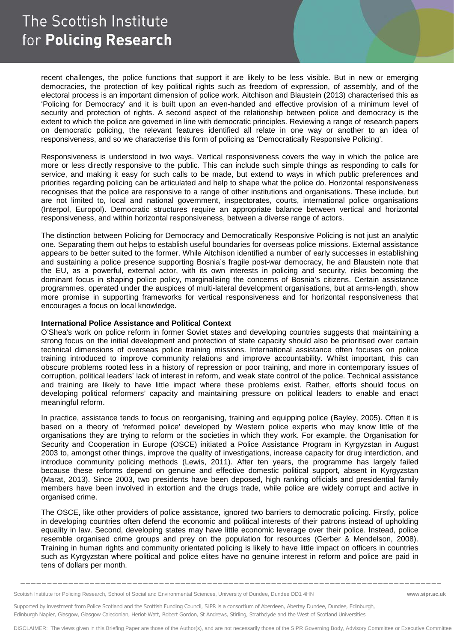## The Scottish Institute for Policing Research

recent challenges, the police functions that support it are likely to be less visible. But in new or emerging democracies, the protection of key political rights such as freedom of expression, of assembly, and of the electoral process is an important dimension of police work. Aitchison and Blaustein (2013) characterised this as 'Policing for Democracy' and it is built upon an even-handed and effective provision of a minimum level of security and protection of rights. A second aspect of the relationship between police and democracy is the extent to which the police are governed in line with democratic principles. Reviewing a range of research papers on democratic policing, the relevant features identified all relate in one way or another to an idea of responsiveness, and so we characterise this form of policing as 'Democratically Responsive Policing'.

Responsiveness is understood in two ways. Vertical responsiveness covers the way in which the police are more or less directly responsive to the public. This can include such simple things as responding to calls for service, and making it easy for such calls to be made, but extend to ways in which public preferences and priorities regarding policing can be articulated and help to shape what the police do. Horizontal responsiveness recognises that the police are responsive to a range of other institutions and organisations. These include, but are not limited to, local and national government, inspectorates, courts, international police organisations (Interpol, Europol). Democratic structures require an appropriate balance between vertical and horizontal responsiveness, and within horizontal responsiveness, between a diverse range of actors.

The distinction between Policing for Democracy and Democratically Responsive Policing is not just an analytic one. Separating them out helps to establish useful boundaries for overseas police missions. External assistance appears to be better suited to the former. While Aitchison identified a number of early successes in establishing and sustaining a police presence supporting Bosnia's fragile post-war democracy, he and Blaustein note that the EU, as a powerful, external actor, with its own interests in policing and security, risks becoming the dominant focus in shaping police policy, marginalising the concerns of Bosnia's citizens. Certain assistance programmes, operated under the auspices of multi-lateral development organisations, but at arms-length, show more promise in supporting frameworks for vertical responsiveness and for horizontal responsiveness that encourages a focus on local knowledge.

#### **International Police Assistance and Political Context**

O'Shea's work on police reform in former Soviet states and developing countries suggests that maintaining a strong focus on the initial development and protection of state capacity should also be prioritised over certain technical dimensions of overseas police training missions. International assistance often focuses on police training introduced to improve community relations and improve accountability. Whilst important, this can obscure problems rooted less in a history of repression or poor training, and more in contemporary issues of corruption, political leaders' lack of interest in reform, and weak state control of the police. Technical assistance and training are likely to have little impact where these problems exist. Rather, efforts should focus on developing political reformers' capacity and maintaining pressure on political leaders to enable and enact meaningful reform.

In practice, assistance tends to focus on reorganising, training and equipping police (Bayley, 2005). Often it is based on a theory of 'reformed police' developed by Western police experts who may know little of the organisations they are trying to reform or the societies in which they work. For example, the Organisation for Security and Cooperation in Europe (OSCE) initiated a Police Assistance Program in Kyrgyzstan in August 2003 to, amongst other things, improve the quality of investigations, increase capacity for drug interdiction, and introduce community policing methods (Lewis, 2011). After ten years, the programme has largely failed because these reforms depend on genuine and effective domestic political support, absent in Kyrgyzstan (Marat, 2013). Since 2003, two presidents have been deposed, high ranking officials and presidential family members have been involved in extortion and the drugs trade, while police are widely corrupt and active in organised crime.

The OSCE, like other providers of police assistance, ignored two barriers to democratic policing. Firstly, police in developing countries often defend the economic and political interests of their patrons instead of upholding equality in law. Second, developing states may have little economic leverage over their police. Instead, police resemble organised crime groups and prey on the population for resources (Gerber & Mendelson, 2008). Training in human rights and community orientated policing is likely to have little impact on officers in countries such as Kyrgyzstan where political and police elites have no genuine interest in reform and police are paid in tens of dollars per month.

**\_\_\_\_\_\_\_\_\_\_\_\_\_\_\_\_\_\_\_\_\_\_\_\_\_\_\_\_\_\_\_\_\_\_\_\_\_\_\_\_\_\_\_\_\_\_\_\_\_\_\_\_\_\_\_\_\_\_\_\_\_\_\_\_\_\_\_\_\_\_\_\_\_\_\_\_\_\_\_**

Scottish Institute for Policing Research, School of Social and Environmental Sciences, University of Dundee, Dundee DD1 4HN **www.sipr.ac.uk**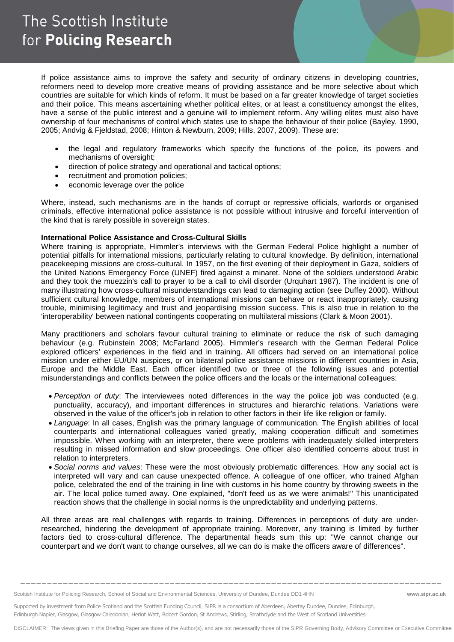If police assistance aims to improve the safety and security of ordinary citizens in developing countries, reformers need to develop more creative means of providing assistance and be more selective about which countries are suitable for which kinds of reform. It must be based on a far greater knowledge of target societies and their police. This means ascertaining whether political elites, or at least a constituency amongst the elites, have a sense of the public interest and a genuine will to implement reform. Any willing elites must also have ownership of four mechanisms of control which states use to shape the behaviour of their police (Bayley, 1990, 2005; Andvig & Fjeldstad, 2008; Hinton & Newburn, 2009; Hills, 2007, 2009). These are:

- the legal and regulatory frameworks which specify the functions of the police, its powers and mechanisms of oversight;
- direction of police strategy and operational and tactical options;
- recruitment and promotion policies;
- economic leverage over the police

Where, instead, such mechanisms are in the hands of corrupt or repressive officials, warlords or organised criminals, effective international police assistance is not possible without intrusive and forceful intervention of the kind that is rarely possible in sovereign states.

#### **International Police Assistance and Cross-Cultural Skills**

Where training is appropriate, Himmler's interviews with the German Federal Police highlight a number of potential pitfalls for international missions, particularly relating to cultural knowledge. By definition, international peacekeeping missions are cross-cultural. In 1957, on the first evening of their deployment in Gaza, soldiers of the United Nations Emergency Force (UNEF) fired against a minaret. None of the soldiers understood Arabic and they took the muezzin's call to prayer to be a call to civil disorder (Urquhart 1987). The incident is one of many illustrating how cross-cultural misunderstandings can lead to damaging action (see Duffey 2000). Without sufficient cultural knowledge, members of international missions can behave or react inappropriately, causing trouble, minimising legitimacy and trust and jeopardising mission success. This is also true in relation to the 'interoperability' between national contingents cooperating on multilateral missions (Clark & Moon 2001).

Many practitioners and scholars favour cultural training to eliminate or reduce the risk of such damaging behaviour (e.g. Rubinstein 2008; McFarland 2005). Himmler's research with the German Federal Police explored officers' experiences in the field and in training. All officers had served on an international police mission under either EU/UN auspices, or on bilateral police assistance missions in different countries in Asia, Europe and the Middle East. Each officer identified two or three of the following issues and potential misunderstandings and conflicts between the police officers and the locals or the international colleagues:

- *Perception of duty*: The interviewees noted differences in the way the police job was conducted (e.g. punctuality, accuracy), and important differences in structures and hierarchic relations. Variations were observed in the value of the officer's job in relation to other factors in their life like religion or family.
- *Language*: In all cases, English was the primary language of communication. The English abilities of local counterparts and international colleagues varied greatly, making cooperation difficult and sometimes impossible. When working with an interpreter, there were problems with inadequately skilled interpreters resulting in missed information and slow proceedings. One officer also identified concerns about trust in relation to interpreters.
- *Social norms and values*: These were the most obviously problematic differences. How any social act is interpreted will vary and can cause unexpected offence. A colleague of one officer, who trained Afghan police, celebrated the end of the training in line with customs in his home country by throwing sweets in the air. The local police turned away. One explained, "don't feed us as we were animals!" This unanticipated reaction shows that the challenge in social norms is the unpredictability and underlying patterns.

All three areas are real challenges with regards to training. Differences in perceptions of duty are underresearched, hindering the development of appropriate training. Moreover, any training is limited by further factors tied to cross-cultural difference. The departmental heads sum this up: "We cannot change our counterpart and we don't want to change ourselves, all we can do is make the officers aware of differences".

**\_\_\_\_\_\_\_\_\_\_\_\_\_\_\_\_\_\_\_\_\_\_\_\_\_\_\_\_\_\_\_\_\_\_\_\_\_\_\_\_\_\_\_\_\_\_\_\_\_\_\_\_\_\_\_\_\_\_\_\_\_\_\_\_\_\_\_\_\_\_\_\_\_\_\_\_\_\_\_**

Scottish Institute for Policing Research, School of Social and Environmental Sciences, University of Dundee, Dundee DD1 4HN **www.sipr.ac.uk**